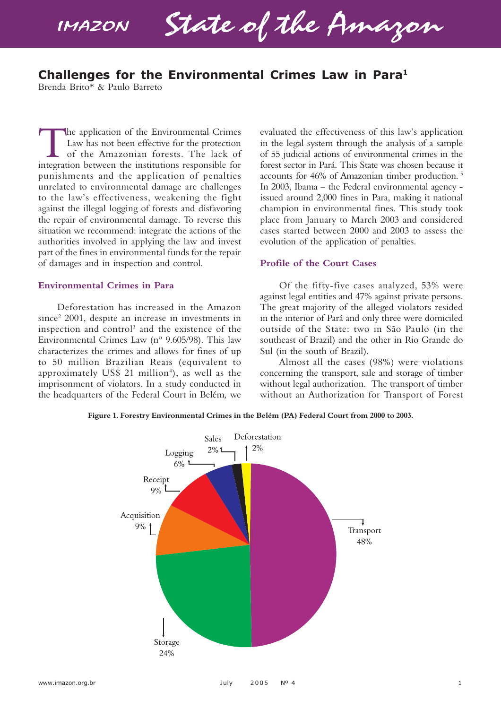**IMAZON** 

State of the Amazon

# **Challenges for the Environmental Crimes Law in Para1**

Brenda Brito\* & Paulo Barreto

The application of the Environmental Crimes<br>Law has not been effective for the protection<br>of the Amazonian forests. The lack of<br>integration between the institutions responsible for Law has not been effective for the protection of the Amazonian forests. The lack of integration between the institutions responsible for punishments and the application of penalties unrelated to environmental damage are challenges to the law's effectiveness, weakening the fight against the illegal logging of forests and disfavoring the repair of environmental damage. To reverse this situation we recommend: integrate the actions of the authorities involved in applying the law and invest part of the fines in environmental funds for the repair of damages and in inspection and control.

## **Environmental Crimes in Para**

Deforestation has increased in the Amazon since<sup>2</sup> 2001, despite an increase in investments in inspection and control<sup>3</sup> and the existence of the Environmental Crimes Law (nº 9.605/98). This law characterizes the crimes and allows for fines of up to 50 million Brazilian Reais (equivalent to approximately US\$ 21 million<sup>4</sup>), as well as the imprisonment of violators. In a study conducted in the headquarters of the Federal Court in Belém*,* we evaluated the effectiveness of this law's application in the legal system through the analysis of a sample of 55 judicial actions of environmental crimes in the forest sector in Pará. This State was chosen because it accounts for 46% of Amazonian timber production. 5 In 2003, Ibama – the Federal environmental agency issued around 2,000 fines in Para, making it national champion in environmental fines. This study took place from January to March 2003 and considered cases started between 2000 and 2003 to assess the evolution of the application of penalties.

## **Profile of the Court Cases**

Of the fifty-five cases analyzed, 53% were against legal entities and 47% against private persons. The great majority of the alleged violators resided in the interior of Pará and only three were domiciled outside of the State: two in São Paulo (in the southeast of Brazil) and the other in Rio Grande do Sul (in the south of Brazil).

Almost all the cases (98%) were violations concerning the transport, sale and storage of timber without legal authorization. The transport of timber without an Authorization for Transport of Forest



**Figure 1. Forestry Environmental Crimes in the Belém (PA) Federal Court from 2000 to 2003.**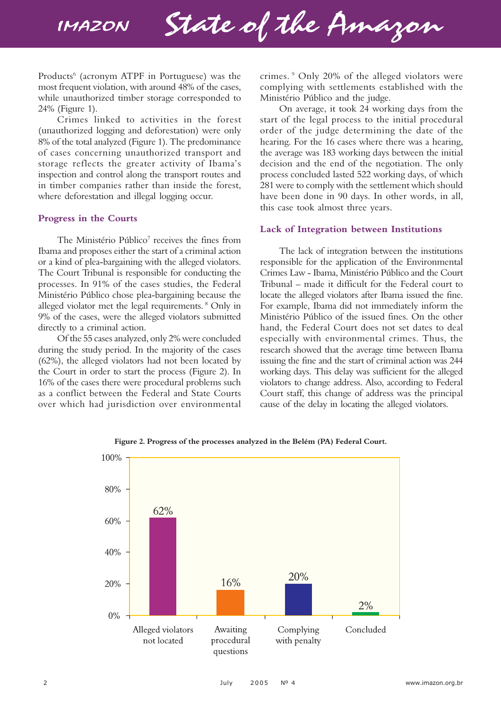

Products<sup>6</sup> (acronym ATPF in Portuguese) was the most frequent violation, with around 48% of the cases, while unauthorized timber storage corresponded to 24% (Figure 1).

Crimes linked to activities in the forest (unauthorized logging and deforestation) were only 8% of the total analyzed (Figure 1). The predominance of cases concerning unauthorized transport and storage reflects the greater activity of Ibama's inspection and control along the transport routes and in timber companies rather than inside the forest, where deforestation and illegal logging occur.

## **Progress in the Courts**

The Ministério Público<sup>7</sup> receives the fines from Ibama and proposes either the start of a criminal action or a kind of plea-bargaining with the alleged violators. The Court Tribunal is responsible for conducting the processes. In 91% of the cases studies, the Federal Ministério Público chose plea-bargaining because the alleged violator met the legal requirements. 8 Only in 9% of the cases, were the alleged violators submitted directly to a criminal action.

Of the 55 cases analyzed, only 2% were concluded during the study period. In the majority of the cases (62%), the alleged violators had not been located by the Court in order to start the process (Figure 2). In 16% of the cases there were procedural problems such as a conflict between the Federal and State Courts over which had jurisdiction over environmental crimes. 9 Only 20% of the alleged violators were complying with settlements established with the Ministério Público and the judge.

On average, it took 24 working days from the start of the legal process to the initial procedural order of the judge determining the date of the hearing. For the 16 cases where there was a hearing, the average was 183 working days between the initial decision and the end of the negotiation. The only process concluded lasted 522 working days, of which 281 were to comply with the settlement which should have been done in 90 days. In other words, in all, this case took almost three years.

## **Lack of Integration between Institutions**

The lack of integration between the institutions responsible for the application of the Environmental Crimes Law - Ibama, Ministério Público and the Court Tribunal – made it difficult for the Federal court to locate the alleged violators after Ibama issued the fine. For example, Ibama did not immediately inform the Ministério Público of the issued fines. On the other hand, the Federal Court does not set dates to deal especially with environmental crimes. Thus, the research showed that the average time between Ibama issuing the fine and the start of criminal action was 244 working days. This delay was sufficient for the alleged violators to change address. Also, according to Federal Court staff, this change of address was the principal cause of the delay in locating the alleged violators.



**Figure 2. Progress of the processes analyzed in the Belém (PA) Federal Court.**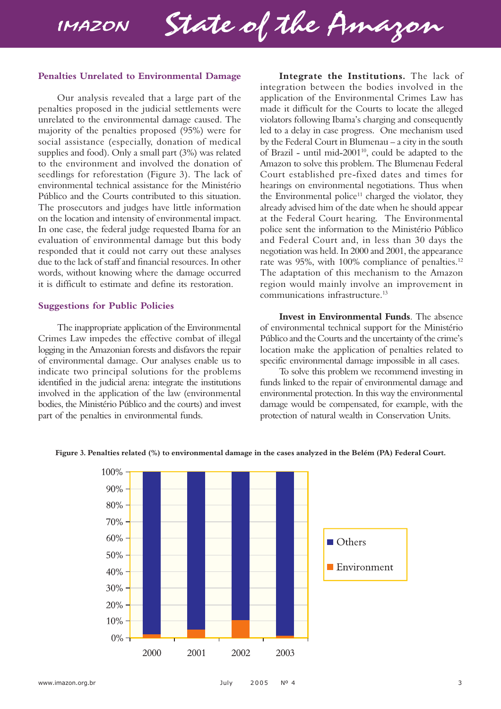State of the Amazon

#### **Penalties Unrelated to Environmental Damage**

Our analysis revealed that a large part of the penalties proposed in the judicial settlements were unrelated to the environmental damage caused. The majority of the penalties proposed (95%) were for social assistance (especially, donation of medical supplies and food). Only a small part (3%) was related to the environment and involved the donation of seedlings for reforestation (Figure 3). The lack of environmental technical assistance for the Ministério Público and the Courts contributed to this situation. The prosecutors and judges have little information on the location and intensity of environmental impact. In one case, the federal judge requested Ibama for an evaluation of environmental damage but this body responded that it could not carry out these analyses due to the lack of staff and financial resources. In other words, without knowing where the damage occurred it is difficult to estimate and define its restoration.

## **Suggestions for Public Policies**

The inappropriate application of the Environmental Crimes Law impedes the effective combat of illegal logging in the Amazonian forests and disfavors the repair of environmental damage. Our analyses enable us to indicate two principal solutions for the problems identified in the judicial arena: integrate the institutions involved in the application of the law (environmental bodies, the Ministério Público and the courts) and invest part of the penalties in environmental funds.

**Integrate the Institutions.** The lack of integration between the bodies involved in the application of the Environmental Crimes Law has made it difficult for the Courts to locate the alleged violators following Ibama's charging and consequently led to a delay in case progress. One mechanism used by the Federal Court in Blumenau – a city in the south of Brazil - until mid-200110, could be adapted to the Amazon to solve this problem. The Blumenau Federal Court established pre-fixed dates and times for hearings on environmental negotiations. Thus when the Environmental police<sup>11</sup> charged the violator, they already advised him of the date when he should appear at the Federal Court hearing. The Environmental police sent the information to the Ministério Público and Federal Court and, in less than 30 days the negotiation was held. In 2000 and 2001, the appearance rate was  $95\%$ , with  $100\%$  compliance of penalties.<sup>12</sup> The adaptation of this mechanism to the Amazon region would mainly involve an improvement in communications infrastructure.13

**Invest in Environmental Funds**. The absence of environmental technical support for the Ministério Público and the Courts and the uncertainty of the crime's location make the application of penalties related to specific environmental damage impossible in all cases.

To solve this problem we recommend investing in funds linked to the repair of environmental damage and environmental protection. In this way the environmental damage would be compensated, for example, with the protection of natural wealth in Conservation Units.



**Figure 3. Penalties related (%) to environmental damage in the cases analyzed in the Belém (PA) Federal Court.**